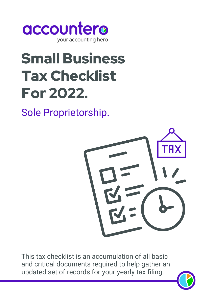

# Small Business Tax Checklist For 2022.

Sole Proprietorship.



This tax checklist is an accumulation of all basic and critical documents required to help gather an updated set of records for your yearly tax filing.

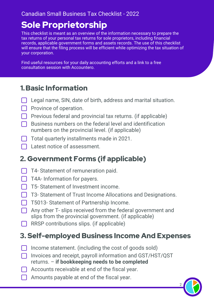#### Canadian Small Business Tax Checklist - 2022

# Sole Proprietorship

This checklist is meant as an overview of the information necessary to prepare the tax returns of your personal tax returns for sole proprietors, including financial records, applicable government forms and assets records. The use of this checklist will ensure that the filing process will be efficient while optimizing the tax situation of your corporation.

Find useful resources for your daily accounting efforts and a link to a free consultation session with Accountero.

## 1.Basic Information

- $\Box$  Legal name, SIN, date of birth, address and marital situation.
- $\Box$  Province of operation.
- $\Box$  Previous federal and provincial tax returns. (if applicable)
- $\Box$  Business numbers on the federal level and identification numbers on the provincial level. (if applicable)
- Total quarterly installments made in 2021.
- **Latest notice of assessment.**

# 2. Government Forms (if applicable)

- $\Box$  T4- Statement of remuneration paid.
- **T4A-Information for payers.**
- T5- Statement of Investment income.
- **T3- Statement of Trust Income Allocations and Designations.**
- **T** T5013- Statement of Partnership Income.
- $\Box$  Any other T- slips received from the federal government and slips from the provincial government. (if applicable)
- $\Box$  RRSP contributions slips. (if applicable)

## 3. Self-employed Business Income And Expenses

- $\Box$  Income statement. (including the cost of goods sold)
- □ Invoices and receipt, payroll information and GST/HST/QST returns. – **if bookkeeping needs to be completed**
- Accounts receivable at end of the fiscal year.
- Amounts payable at end of the fiscal year.

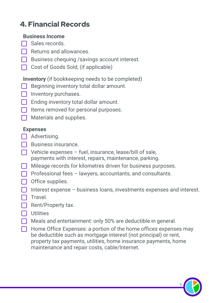# 4. Financial Records

#### **Business Income**

- $\Box$  Sales records.
- $\Box$  Returns and allowances.
- Business chequing / savings account interest.
- Cost of Goods Sold, (if applicable)

#### **Inventory** (if bookkeeping needs to be completed)

- Beginning inventory total dollar amount. II.
- **Inventory purchases.**
- $\Box$  Ending inventory total dollar amount.
- $\Box$  Items removed for personal purposes.
- Materials and supplies.

#### **Expenses**

- Advertising.
- □ Business insurance.
- $\Box$  Vehicle expenses fuel, insurance, lease/bill of sale, payments with interest, repairs, maintenance, parking.
- $\Box$  Mileage records for kilometres driven for business purposes.
- $\Box$  Professional fees lawyers, accountants, and consultants.
- $\Box$  Office supplies.
- Interest expense business loans, investments expenses and interest.
- $\Box$  Travel.
- $\Box$  Rent/Property tax.
- **n** Utilities
- Meals and entertainment: only 50% are deductible in general.
- $\Box$  Home Office Expenses: a portion of the home offices expenses may be deductible such as mortgage interest (not principal) or rent, property tax payments, utilities, home insurance payments, home maintenance and repair costs, cable/Internet.

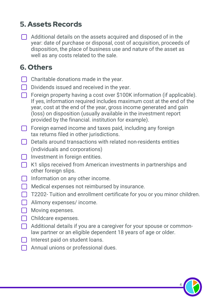## 5. Assets Records

 $\Box$  Additional details on the assets acquired and disposed of in the year: date of purchase or disposal, cost of acquisition, proceeds of disposition, the place of business use and nature of the asset as well as any costs related to the sale.

## 6. Others

- $\Box$  Charitable donations made in the year.
- $\Box$  Dividends issued and received in the year.
- Foreign property having a cost over \$100K information (if applicable). If yes, information required includes maximum cost at the end of the year, cost at the end of the year, gross income generated and gain (loss) on disposition (usually available in the investment report provided by the financial. institution for example).
- $\Box$  Foreign earned income and taxes paid, including any foreign tax returns filed in other jurisdictions.
- $\Box$  Details around transactions with related non-residents entities (individuals and corporations)
- $\Box$  Investment in foreign entities.
- K1 slips received from American investments in partnerships and other foreign slips.
- $\Box$  Information on any other income.
- Medical expenses not reimbursed by insurance.
- $\Box$  T2202- Tuition and enrollment certificate for you or you minor children.
- Alimony expenses/ income.
- **Moving expenses.**
- $\Box$  Childcare expenses.
- $\Box$  Additional details if you are a caregiver for your spouse or commonlaw partner or an eligible dependent 18 years of age or older.
- $\Box$  Interest paid on student loans.
- $\Box$  Annual unions or professional dues.